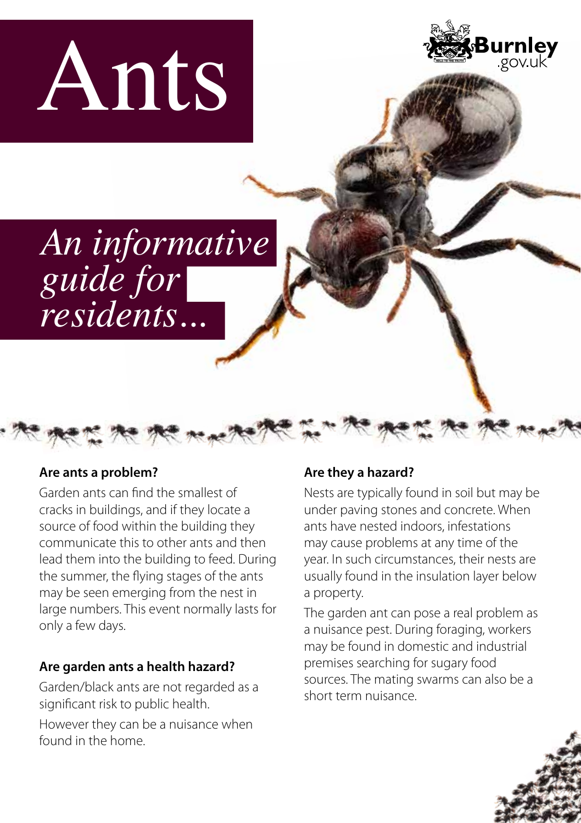



*An informative guide for residents...*

#### **Are ants a problem?**

Garden ants can find the smallest of cracks in buildings, and if they locate a source of food within the building they communicate this to other ants and then lead them into the building to feed. During the summer, the flying stages of the ants may be seen emerging from the nest in large numbers. This event normally lasts for only a few days.

### **Are garden ants a health hazard?**

Garden/black ants are not regarded as a significant risk to public health.

However they can be a nuisance when found in the home.

### **Are they a hazard?**

a she it as it was the first of the she it also

Nests are typically found in soil but may be under paving stones and concrete. When ants have nested indoors, infestations may cause problems at any time of the year. In such circumstances, their nests are usually found in the insulation layer below a property.

The garden ant can pose a real problem as a nuisance pest. During foraging, workers may be found in domestic and industrial premises searching for sugary food sources. The mating swarms can also be a short term nuisance.